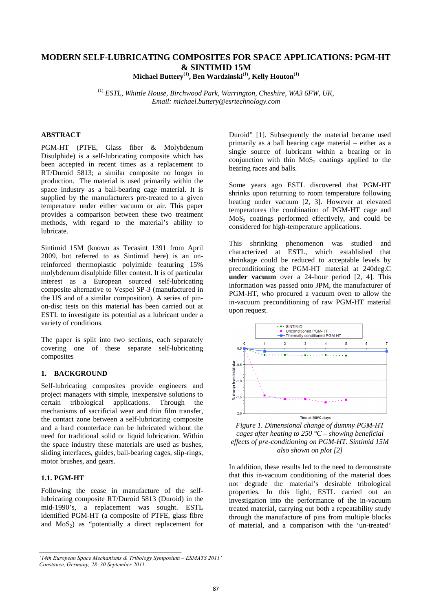# **MODERN SELF-LUBRICATING COMPOSITES FOR SPACE APPLICATIONS: PGM-HT & SINTIMID 15M**

**Michael Buttery(1), Ben Wardzinski(1), Kelly Houton(1)**

(1) *ESTL, Whittle House, Birchwood Park, Warrington, Cheshire, WA3 6FW, UK, Email: michael.buttery@esrtechnology.com* 

# **ABSTRACT**

PGM-HT (PTFE, Glass fiber & Molybdenum Disulphide) is a self-lubricating composite which has been accepted in recent times as a replacement to RT/Duroid 5813; a similar composite no longer in production. The material is used primarily within the space industry as a ball-bearing cage material. It is supplied by the manufacturers pre-treated to a given temperature under either vacuum or air. This paper provides a comparison between these two treatment methods, with regard to the material's ability to lubricate.

Sintimid 15M (known as Tecasint 1391 from April 2009, but referred to as Sintimid here) is an unreinforced thermoplastic polyimide featuring 15% molybdenum disulphide filler content. It is of particular interest as a European sourced self-lubricating composite alternative to Vespel SP-3 (manufactured in the US and of a similar composition). A series of pinon-disc tests on this material has been carried out at ESTL to investigate its potential as a lubricant under a variety of conditions.

The paper is split into two sections, each separately covering one of these separate self-lubricating composites

# **1. BACKGROUND**

Self-lubricating composites provide engineers and project managers with simple, inexpensive solutions to certain tribological applications. Through the mechanisms of sacrificial wear and thin film transfer, the contact zone between a self-lubricating composite and a hard counterface can be lubricated without the need for traditional solid or liquid lubrication. Within the space industry these materials are used as bushes, sliding interfaces, guides, ball-bearing cages, slip-rings, motor brushes, and gears.

# **1.1. PGM-HT**

Following the cease in manufacture of the selflubricating composite RT/Duroid 5813 (Duroid) in the mid-1990's, a replacement was sought. ESTL identified PGM-HT (a composite of PTFE, glass fibre and  $MoS<sub>2</sub>$ ) as "potentially a direct replacement for Duroid" [1]. Subsequently the material became used primarily as a ball bearing cage material – either as a single source of lubricant within a bearing or in conjunction with thin  $MoS<sub>2</sub>$  coatings applied to the bearing races and balls.

Some years ago ESTL discovered that PGM-HT shrinks upon returning to room temperature following heating under vacuum [2, 3]. However at elevated temperatures the combination of PGM-HT cage and  $MoS<sub>2</sub>$  coatings performed effectively, and could be considered for high-temperature applications.

This shrinking phenomenon was studied and characterized at ESTL, which established that shrinkage could be reduced to acceptable levels by preconditioning the PGM-HT material at 240deg.C **under vacuum** over a 24-hour period [2, 4]. This information was passed onto JPM, the manufacturer of PGM-HT, who procured a vacuum oven to allow the in-vacuum preconditioning of raw PGM-HT material upon request.



*Figure 1. Dimensional change of dummy PGM-HT cages after heating to 250 °C – showing beneficial effects of pre-conditioning on PGM-HT. Sintimid 15M also shown on plot [2]* 

In addition, these results led to the need to demonstrate that this in-vacuum conditioning of the material does not degrade the material's desirable tribological properties. In this light, ESTL carried out an investigation into the performance of the in-vacuum treated material, carrying out both a repeatability study through the manufacture of pins from multiple blocks of material, and a comparison with the 'un-treated'

*<sup>&#</sup>x27;14th European Space Mechanisms & Tribology Symposium – ESMATS 2011' Constance, Germany, 28–30 September 2011*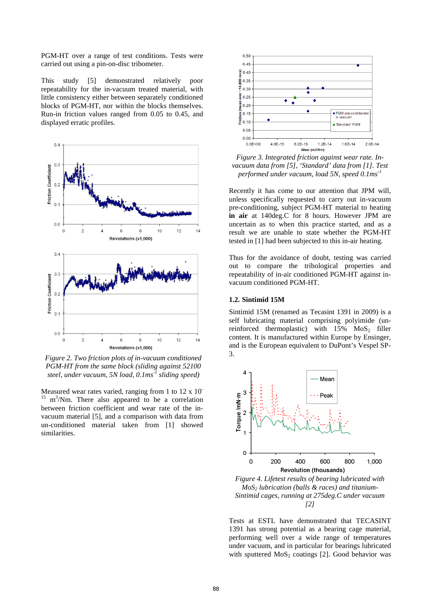PGM-HT over a range of test conditions. Tests were carried out using a pin-on-disc tribometer.

This study [5] demonstrated relatively poor repeatability for the in-vacuum treated material, with little consistency either between separately conditioned blocks of PGM-HT, nor within the blocks themselves. Run-in friction values ranged from 0.05 to 0.45, and displayed erratic profiles.



*Figure 2. Two friction plots of in-vacuum conditioned PGM-HT from the same block (sliding against 52100 steel, under vacuum, 5N load, 0.1ms-1 sliding speed)* 

Measured wear rates varied, ranging from 1 to 12 x 10<sup>-</sup>  $15 \text{ m}^3/\text{Nm}$ . There also appeared to be a correlation between friction coefficient and wear rate of the invacuum material [5], and a comparison with data from un-conditioned material taken from [1] showed similarities.



*Figure 3. Integrated friction against wear rate. Invacuum data from [5], 'Standard' data from [1]. Test performed under vacuum, load 5N, speed 0.1ms-1*

Recently it has come to our attention that JPM will, unless specifically requested to carry out in-vacuum pre-conditioning, subject PGM-HT material to heating **in air** at 140deg.C for 8 hours. However JPM are uncertain as to when this practice started, and as a result we are unable to state whether the PGM-HT tested in [1] had been subjected to this in-air heating.

Thus for the avoidance of doubt, testing was carried out to compare the tribological properties and repeatability of in-air conditioned PGM-HT against invacuum conditioned PGM-HT.

# **1.2. Sintimid 15M**

Sintimid 15M (renamed as Tecasint 1391 in 2009) is a self lubricating material comprising polyimide (unreinforced thermoplastic) with  $15\%$  MoS<sub>2</sub> filler content. It is manufactured within Europe by Ensinger, and is the European equivalent to DuPont's Vespel SP-3.



*MoS2 lubrication (balls & races) and titanium-Sintimid cages, running at 275deg.C under vacuum [2]*

Tests at ESTL have demonstrated that TECASINT 1391 has strong potential as a bearing cage material, performing well over a wide range of temperatures under vacuum, and in particular for bearings lubricated with sputtered  $MoS<sub>2</sub>$  coatings [2]. Good behavior was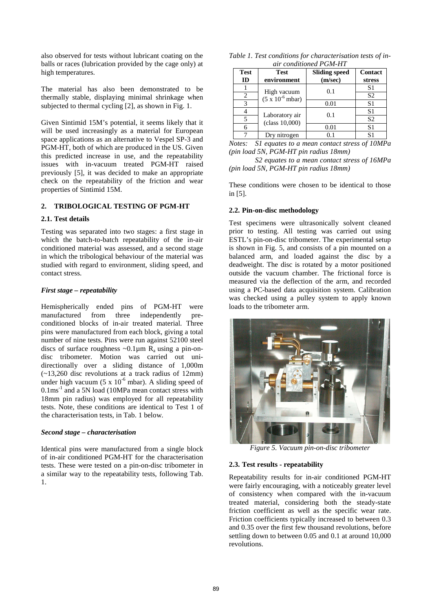also observed for tests without lubricant coating on the balls or races (lubrication provided by the cage only) at high temperatures.

The material has also been demonstrated to be thermally stable, displaying minimal shrinkage when subjected to thermal cycling [2], as shown in Fig. 1.

Given Sintimid 15M's potential, it seems likely that it will be used increasingly as a material for European space applications as an alternative to Vespel SP-3 and PGM-HT, both of which are produced in the US. Given this predicted increase in use, and the repeatability issues with in-vacuum treated PGM-HT raised previously [5], it was decided to make an appropriate check on the repeatability of the friction and wear properties of Sintimid 15M.

# **2. TRIBOLOGICAL TESTING OF PGM-HT**

### **2.1. Test details**

Testing was separated into two stages: a first stage in which the batch-to-batch repeatability of the in-air conditioned material was assessed, and a second stage in which the tribological behaviour of the material was studied with regard to environment, sliding speed, and contact stress.

### *First stage – repeatability*

Hemispherically ended pins of PGM-HT were manufactured from three independently preconditioned blocks of in-air treated material. Three pins were manufactured from each block, giving a total number of nine tests. Pins were run against 52100 steel discs of surface roughness  $\sim 0.1 \mu m$  R<sub>a</sub> using a pin-ondisc tribometer. Motion was carried out unidirectionally over a sliding distance of 1,000m (~13,260 disc revolutions at a track radius of 12mm) under high vacuum (5 x  $10^{-6}$  mbar). A sliding speed of  $0.1 \text{ms}^{-1}$  and a 5N load (10MPa mean contact stress with 18mm pin radius) was employed for all repeatability tests. Note, these conditions are identical to Test 1 of the characterisation tests, in Tab. 1 below.

#### *Second stage – characterisation*

Identical pins were manufactured from a single block of in-air conditioned PGM-HT for the characterisation tests. These were tested on a pin-on-disc tribometer in a similar way to the repeatability tests, following Tab. 1.

| Table 1. Test conditions for characterisation tests of in- |  |                        |  |  |  |  |
|------------------------------------------------------------|--|------------------------|--|--|--|--|
|                                                            |  | air conditioned PGM-HT |  |  |  |  |

| <b>Test</b>          | <b>Test</b>                                      | <b>Sliding speed</b> | Contact                    |  |
|----------------------|--------------------------------------------------|----------------------|----------------------------|--|
| ID                   | environment                                      | (m/sec)              | stress                     |  |
|                      |                                                  | 0.1                  | S <sub>1</sub>             |  |
| 2                    | High vacuum<br>$(5 \times 10^{-6} \text{ mbar})$ |                      | S <sub>2</sub>             |  |
| 3                    |                                                  | 0.01                 | S <sub>1</sub>             |  |
|                      |                                                  |                      | S <sub>1</sub>             |  |
|                      | Laboratory air<br>(class 10,000)                 | 0.1                  | S <sub>2</sub>             |  |
| 6                    |                                                  | 0.01                 | S <sub>1</sub>             |  |
|                      | Dry nitrogen                                     | $\rm 0.1$            | S1                         |  |
| $\sim$ $\sim$ $\sim$ | $\sim$ $\sim$                                    |                      | $\alpha$ $\alpha$ $\alpha$ |  |

*Notes: S1 equates to a mean contact stress of 10MPa (pin load 5N, PGM-HT pin radius 18mm)* 

 *S2 equates to a mean contact stress of 16MPa (pin load 5N, PGM-HT pin radius 18mm)* 

These conditions were chosen to be identical to those in [5].

### **2.2. Pin-on-disc methodology**

Test specimens were ultrasonically solvent cleaned prior to testing. All testing was carried out using ESTL's pin-on-disc tribometer. The experimental setup is shown in Fig. 5, and consists of a pin mounted on a balanced arm, and loaded against the disc by a deadweight. The disc is rotated by a motor positioned outside the vacuum chamber. The frictional force is measured via the deflection of the arm, and recorded using a PC-based data acquisition system. Calibration was checked using a pulley system to apply known loads to the tribometer arm.



*Figure 5. Vacuum pin-on-disc tribometer* 

### **2.3. Test results - repeatability**

Repeatability results for in-air conditioned PGM-HT were fairly encouraging, with a noticeably greater level of consistency when compared with the in-vacuum treated material, considering both the steady-state friction coefficient as well as the specific wear rate. Friction coefficients typically increased to between 0.3 and 0.35 over the first few thousand revolutions, before settling down to between 0.05 and 0.1 at around 10,000 revolutions.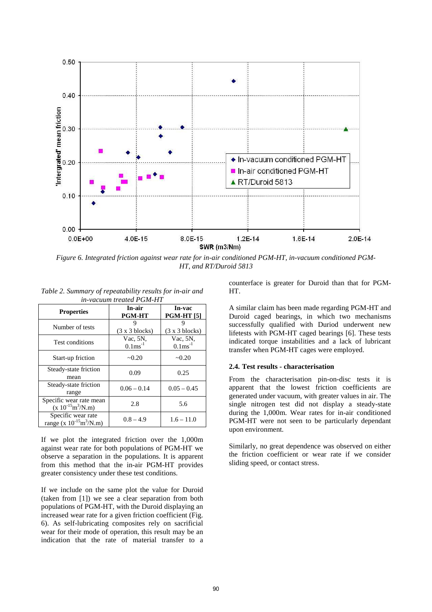

*Figure 6. Integrated friction against wear rate for in-air conditioned PGM-HT, in-vacuum conditioned PGM-HT, and RT/Duroid 5813* 

| т-тасиит пешей г 9м-111                                        |                                    |                                  |  |  |  |
|----------------------------------------------------------------|------------------------------------|----------------------------------|--|--|--|
| <b>Properties</b>                                              | In-air<br><b>PGM-HT</b>            | In-vac<br><b>PGM-HT</b> [5]      |  |  |  |
| Number of tests                                                | 9<br>$(3 \times 3 \text{ blocks})$ | $(3 \times 3 \text{ blocks})$    |  |  |  |
| Test conditions                                                | Vac, 5N,<br>$0.1 \text{ms}^{-1}$   | Vac, 5N,<br>$0.1 \text{ms}^{-1}$ |  |  |  |
| Start-up friction                                              | $-0.20$                            | $-0.20$                          |  |  |  |
| Steady-state friction<br>mean                                  | 0.09                               | 0.25                             |  |  |  |
| Steady-state friction<br>range                                 | $0.06 - 0.14$                      | $0.05 - 0.45$                    |  |  |  |
| Specific wear rate mean<br>$(x 10^{-15} m^3/N.m)$              | 2.8                                | 5.6                              |  |  |  |
| Specific wear rate<br>range (x $10^{-15}$ m <sup>3</sup> /N.m) | $0.8 - 4.9$                        | $1.6 - 11.0$                     |  |  |  |

*Table 2. Summary of repeatability results for in-air and in-vacuum treated PGM-HT* 

If we plot the integrated friction over the 1,000m against wear rate for both populations of PGM-HT we observe a separation in the populations. It is apparent from this method that the in-air PGM-HT provides greater consistency under these test conditions.

If we include on the same plot the value for Duroid (taken from [1]) we see a clear separation from both populations of PGM-HT, with the Duroid displaying an increased wear rate for a given friction coefficient (Fig. 6). As self-lubricating composites rely on sacrificial wear for their mode of operation, this result may be an indication that the rate of material transfer to a

counterface is greater for Duroid than that for PGM-HT.

A similar claim has been made regarding PGM-HT and Duroid caged bearings, in which two mechanisms successfully qualified with Duriod underwent new lifetests with PGM-HT caged bearings [6]. These tests indicated torque instabilities and a lack of lubricant transfer when PGM-HT cages were employed.

#### **2.4. Test results - characterisation**

From the characterisation pin-on-disc tests it is apparent that the lowest friction coefficients are generated under vacuum, with greater values in air. The single nitrogen test did not display a steady-state during the 1,000m. Wear rates for in-air conditioned PGM-HT were not seen to be particularly dependant upon environment.

Similarly, no great dependence was observed on either the friction coefficient or wear rate if we consider sliding speed, or contact stress.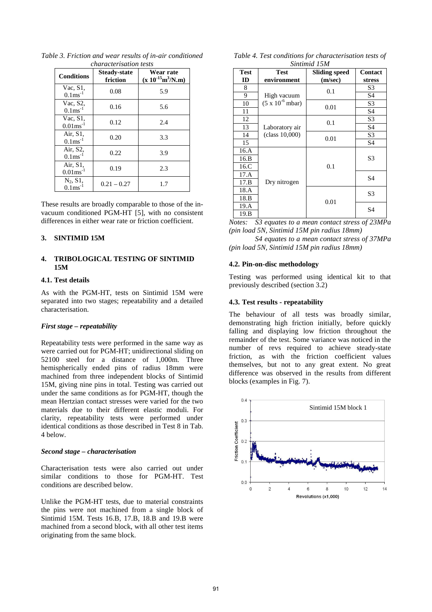| <b>Conditions</b>                      | <b>Steady-state</b><br>friction | Wear rate<br>$(x 10^{-15} m^3/N.m)$ |  |
|----------------------------------------|---------------------------------|-------------------------------------|--|
| $Vac, S1$ ,<br>$0.1 \text{ms}^{-1}$    | 0.08                            | 5.9                                 |  |
| Vac, S2,<br>$0.1 \text{ms}^{-1}$       | 0.16                            | 5.6                                 |  |
| Vac, $S1$ .<br>$0.01$ ms <sup>-1</sup> | 0.12                            | 2.4                                 |  |
| Air, S1,<br>$0.1 \text{ms}^{-1}$       | 0.20                            | 3.3                                 |  |
| Air, S2,<br>$0.1 \text{ms}^{-1}$       | 0.22                            | 3.9                                 |  |
| Air, S1,<br>$0.01 \text{ms}^{-1}$      | 0.19                            | 2.3                                 |  |
| $N_2$ , $S1$ ,<br>$0.1 \text{ms}^{-1}$ | $0.21 - 0.27$                   | 1.7                                 |  |

*Table 3. Friction and wear results of in-air conditioned characterisation tests*

These results are broadly comparable to those of the invacuum conditioned PGM-HT [5], with no consistent differences in either wear rate or friction coefficient.

# **3. SINTIMID 15M**

# **4. TRIBOLOGICAL TESTING OF SINTIMID 15M**

#### **4.1. Test details**

As with the PGM-HT, tests on Sintimid 15M were separated into two stages; repeatability and a detailed characterisation.

#### *First stage – repeatability*

Repeatability tests were performed in the same way as were carried out for PGM-HT; unidirectional sliding on 52100 steel for a distance of 1,000m. Three hemispherically ended pins of radius 18mm were machined from three independent blocks of Sintimid 15M, giving nine pins in total. Testing was carried out under the same conditions as for PGM-HT, though the mean Hertzian contact stresses were varied for the two materials due to their different elastic moduli. For clarity, repeatability tests were performed under identical conditions as those described in Test 8 in Tab. 4 below.

### *Second stage – characterisation*

Characterisation tests were also carried out under similar conditions to those for PGM-HT. Test conditions are described below.

Unlike the PGM-HT tests, due to material constraints the pins were not machined from a single block of Sintimid 15M. Tests 16.B, 17.B, 18.B and 19.B were machined from a second block, with all other test items originating from the same block.

| Table 4. Test conditions for characterisation tests of |  |
|--------------------------------------------------------|--|
| Sintimid 15M                                           |  |

| <b>Test</b> | <b>Test</b>                       | <b>Sliding speed</b> | <b>Contact</b> |
|-------------|-----------------------------------|----------------------|----------------|
| ID          | environment                       | (m/sec)              | stress         |
| 8           |                                   | 0.1                  | S3             |
| 9           | High vacuum                       |                      | S4             |
| 10          | $(5 \times 10^{-6} \text{ mbar})$ | 0.01                 | S3             |
| 11          |                                   |                      | S4             |
| 12          |                                   | 0.1                  | S <sub>3</sub> |
| 13          | Laboratory air                    |                      | S <sub>4</sub> |
| 14          | (class 10,000)                    | 0.01                 | S <sub>3</sub> |
| 15          |                                   |                      | S <sub>4</sub> |
| 16.A        |                                   |                      |                |
| 16.B        |                                   | 0.1                  | S <sub>3</sub> |
| 16.C        |                                   |                      |                |
| 17.A        |                                   |                      | S4             |
| 17.B        | Dry nitrogen                      |                      |                |
| 18.A        |                                   | 0.01                 | S <sub>3</sub> |
| 18.B        |                                   |                      |                |
| 19.A        |                                   |                      | S4             |
| 19.B        |                                   |                      |                |

*Notes: S3 equates to a mean contact stress of 23MPa (pin load 5N, Sintimid 15M pin radius 18mm)* 

 *S4 equates to a mean contact stress of 37MPa (pin load 5N, Sintimid 15M pin radius 18mm)* 

#### **4.2. Pin-on-disc methodology**

Testing was performed using identical kit to that previously described (section 3.2)

#### **4.3. Test results - repeatability**

The behaviour of all tests was broadly similar, demonstrating high friction initially, before quickly falling and displaying low friction throughout the remainder of the test. Some variance was noticed in the number of revs required to achieve steady-state friction, as with the friction coefficient values themselves, but not to any great extent. No great difference was observed in the results from different blocks (examples in Fig. 7).

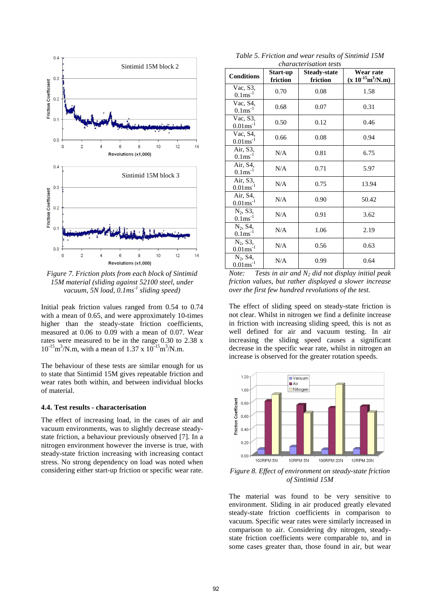

*Figure 7. Friction plots from each block of Sintimid 15M material (sliding against 52100 steel, under vacuum, 5N load, 0.1ms-1 sliding speed)*

Initial peak friction values ranged from 0.54 to 0.74 with a mean of 0.65, and were approximately 10-times higher than the steady-state friction coefficients, measured at 0.06 to 0.09 with a mean of 0.07. Wear rates were measured to be in the range 0.30 to 2.38 x  $10^{-15}$ m<sup>3</sup>/N.m, with a mean of 1.37 x  $10^{-15}$ m<sup>3</sup>/N.m.

The behaviour of these tests are similar enough for us to state that Sintimid 15M gives repeatable friction and wear rates both within, and between individual blocks of material.

#### **4.4. Test results - characterisation**

The effect of increasing load, in the cases of air and vacuum environments, was to slightly decrease steadystate friction, a behaviour previously observed [7]. In a nitrogen environment however the inverse is true, with steady-state friction increasing with increasing contact stress. No strong dependency on load was noted when considering either start-up friction or specific wear rate.

*Table 5. Friction and wear results of Sintimid 15M characterisation tests*

| chanach isahon hesis                 |                      |                                 |                                     |  |  |  |  |
|--------------------------------------|----------------------|---------------------------------|-------------------------------------|--|--|--|--|
| <b>Conditions</b>                    | Start-up<br>friction | <b>Steady-state</b><br>friction | Wear rate<br>$(x 10^{-15} m^3/N.m)$ |  |  |  |  |
| Vac, S3,<br>$0.1 \text{ms}^{-1}$     | 0.70                 | 0.08                            | 1.58                                |  |  |  |  |
| Vac, S4,<br>$0.1 \text{ms}^{-1}$     | 0.68                 | 0.07                            | 0.31                                |  |  |  |  |
| Vac, S3,<br>$0.01$ ms <sup>-1</sup>  | 0.50                 | 0.12                            | 0.46                                |  |  |  |  |
| Vac, S4,<br>$0.01 \text{ms}^{-1}$    | 0.66                 | 0.08                            | 0.94                                |  |  |  |  |
| Air, S3,<br>$0.1 \text{ms}^{-1}$     | N/A                  | 0.81                            | 6.75                                |  |  |  |  |
| Air, S4,<br>$0.1 \text{ms}^{-1}$     | N/A                  | 0.71                            | 5.97                                |  |  |  |  |
| Air, S3,<br>$0.01 \text{ms}^{-1}$    | N/A                  | 0.75                            | 13.94                               |  |  |  |  |
| Air, S4,<br>$0.01 \text{ms}^{-1}$    | N/A                  | 0.90                            | 50.42                               |  |  |  |  |
| $N_2$ , S3,<br>$0.1 \text{ms}^{-1}$  | N/A                  | 0.91                            | 3.62                                |  |  |  |  |
| $N_2$ , S4,<br>$0.1 \text{ms}^{-1}$  | N/A                  | 1.06                            | 2.19                                |  |  |  |  |
| $N_2$ , S3,<br>$0.01 \text{ms}^{-1}$ | N/A                  | 0.56                            | 0.63                                |  |  |  |  |
| $N_2$ , S4,<br>$0.01 \text{ms}^{-1}$ | N/A                  | 0.99                            | 0.64                                |  |  |  |  |

*Note: Tests in air and N2 did not display initial peak friction values, but rather displayed a slower increase over the first few hundred revolutions of the test.* 

The effect of sliding speed on steady-state friction is not clear. Whilst in nitrogen we find a definite increase in friction with increasing sliding speed, this is not as well defined for air and vacuum testing. In air increasing the sliding speed causes a significant decrease in the specific wear rate, whilst in nitrogen an increase is observed for the greater rotation speeds.



*Figure 8. Effect of environment on steady-state friction of Sintimid 15M*

The material was found to be very sensitive to environment. Sliding in air produced greatly elevated steady-state friction coefficients in comparison to vacuum. Specific wear rates were similarly increased in comparison to air. Considering dry nitrogen, steadystate friction coefficients were comparable to, and in some cases greater than, those found in air, but wear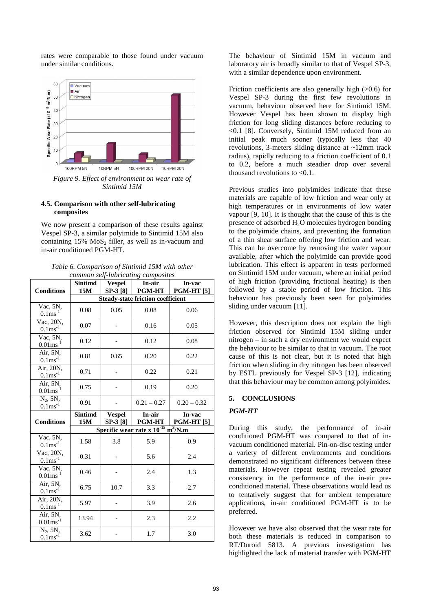rates were comparable to those found under vacuum under similar conditions.



#### *Sintimid 15M*

# **4.5. Comparison with other self-lubricating composites**

We now present a comparison of these results against Vespel SP-3, a similar polyimide to Sintimid 15M also containing  $15\%$  MoS<sub>2</sub> filler, as well as in-vacuum and in-air conditioned PGM-HT.

| Table 6. Comparison of Sintimid 15M with other |
|------------------------------------------------|
| common self-lubricating composites             |

|                                                  | Sintimd                                  | common scri<br><b>Vespel</b> | mortouring composition<br>In-air                    | In-vac                      |  |  |
|--------------------------------------------------|------------------------------------------|------------------------------|-----------------------------------------------------|-----------------------------|--|--|
| <b>Conditions</b>                                | 15M                                      | SP-3 [8]                     | <b>PGM-HT</b>                                       | <b>PGM-HT</b> [5]           |  |  |
|                                                  | <b>Steady-state friction coefficient</b> |                              |                                                     |                             |  |  |
|                                                  |                                          |                              |                                                     |                             |  |  |
| Vac, 5N,<br>$0.1 \text{ms}^{-1}$                 | 0.08                                     | 0.05                         | 0.08                                                | 0.06                        |  |  |
| Vac, 20N,<br>$0.1 \text{ms}^{-1}$                | 0.07                                     |                              | 0.16                                                | 0.05                        |  |  |
| Vac, 5N,<br>$0.01$ ms <sup>-1</sup>              | 0.12                                     |                              | 0.12                                                | 0.08                        |  |  |
| Air, 5N,<br>$0.1 \text{ms}^{-1}$                 | 0.81                                     | 0.65                         | 0.20                                                | 0.22                        |  |  |
| Air, 20N,<br>$0.1 \text{ms}^{-1}$                | 0.71                                     |                              | 0.22                                                | 0.21                        |  |  |
| Air, 5N,<br>$0.01$ ms <sup>-1</sup>              | 0.75                                     |                              | 0.19                                                | 0.20                        |  |  |
| $N_2$ , 5 $N_2$<br>$0.1 \text{ms}^{-1}$          | 0.91                                     |                              | $0.21 - 0.27$                                       | $0.20 - 0.32$               |  |  |
|                                                  |                                          |                              |                                                     |                             |  |  |
| <b>Conditions</b>                                | <b>Sintimd</b><br>15M                    | <b>Vespel</b><br>SP-3 [8]    | In-air<br><b>PGM-HT</b>                             | In-vac<br><b>PGM-HT [5]</b> |  |  |
|                                                  |                                          |                              | Specific wear rate x $10^{-15}$ m <sup>3</sup> /N.m |                             |  |  |
| Vac, 5N,<br>$0.1 \text{ms}^{-1}$                 | 1.58                                     | 3.8                          | 5.9                                                 | 0.9                         |  |  |
| Vac, 20N,<br>$0.1 \text{ms}^{-1}$                | 0.31                                     |                              | 5.6                                                 | 2.4                         |  |  |
| Vac, 5N,<br>$0.01$ ms <sup>-1</sup>              | 0.46                                     |                              | 2.4                                                 | 1.3                         |  |  |
| Air, 5N,<br>$0.1 \text{ms}^{-1}$                 | 6.75                                     | 10.7                         | 3.3                                                 | 2.7                         |  |  |
| Air, 20N,<br>$0.1 \text{ms}^{-1}$                | 5.97                                     |                              | 3.9                                                 | 2.6                         |  |  |
| Air, 5N,<br>$0.01 \text{ms}^{-1}$<br>$N_2$ , 5N, | 13.94                                    |                              | 2.3                                                 | 2.2                         |  |  |

The behaviour of Sintimid 15M in vacuum and laboratory air is broadly similar to that of Vespel SP-3, with a similar dependence upon environment.

Friction coefficients are also generally high (>0.6) for Vespel SP-3 during the first few revolutions in vacuum, behaviour observed here for Sintimid 15M. However Vespel has been shown to display high friction for long sliding distances before reducing to <0.1 [8]. Conversely, Sintimid 15M reduced from an initial peak much sooner (typically less that 40 revolutions, 3-meters sliding distance at ~12mm track radius), rapidly reducing to a friction coefficient of 0.1 to 0.2, before a much steadier drop over several thousand revolutions to <0.1.

Previous studies into polyimides indicate that these materials are capable of low friction and wear only at high temperatures or in environments of low water vapour [9, 10]. It is thought that the cause of this is the presence of adsorbed  $H_2O$  molecules hydrogen bonding to the polyimide chains, and preventing the formation of a thin shear surface offering low friction and wear. This can be overcome by removing the water vapour available, after which the polyimide can provide good lubrication. This effect is apparent in tests performed on Sintimid 15M under vacuum, where an initial period of high friction (providing frictional heating) is then followed by a stable period of low friction. This behaviour has previously been seen for polyimides sliding under vacuum [11].

However, this description does not explain the high friction observed for Sintimid 15M sliding under nitrogen – in such a dry environment we would expect the behaviour to be similar to that in vacuum. The root cause of this is not clear, but it is noted that high friction when sliding in dry nitrogen has been observed by ESTL previously for Vespel SP-3 [12], indicating that this behaviour may be common among polyimides.

# **5. CONCLUSIONS**

# *PGM-HT*

During this study, the performance of in-air conditioned PGM-HT was compared to that of invacuum conditioned material. Pin-on-disc testing under a variety of different environments and conditions demonstrated no significant differences between these materials. However repeat testing revealed greater consistency in the performance of the in-air preconditioned material. These observations would lead us to tentatively suggest that for ambient temperature applications, in-air conditioned PGM-HT is to be preferred.

However we have also observed that the wear rate for both these materials is reduced in comparison to RT/Duroid 5813. A previous investigation has highlighted the lack of material transfer with PGM-HT